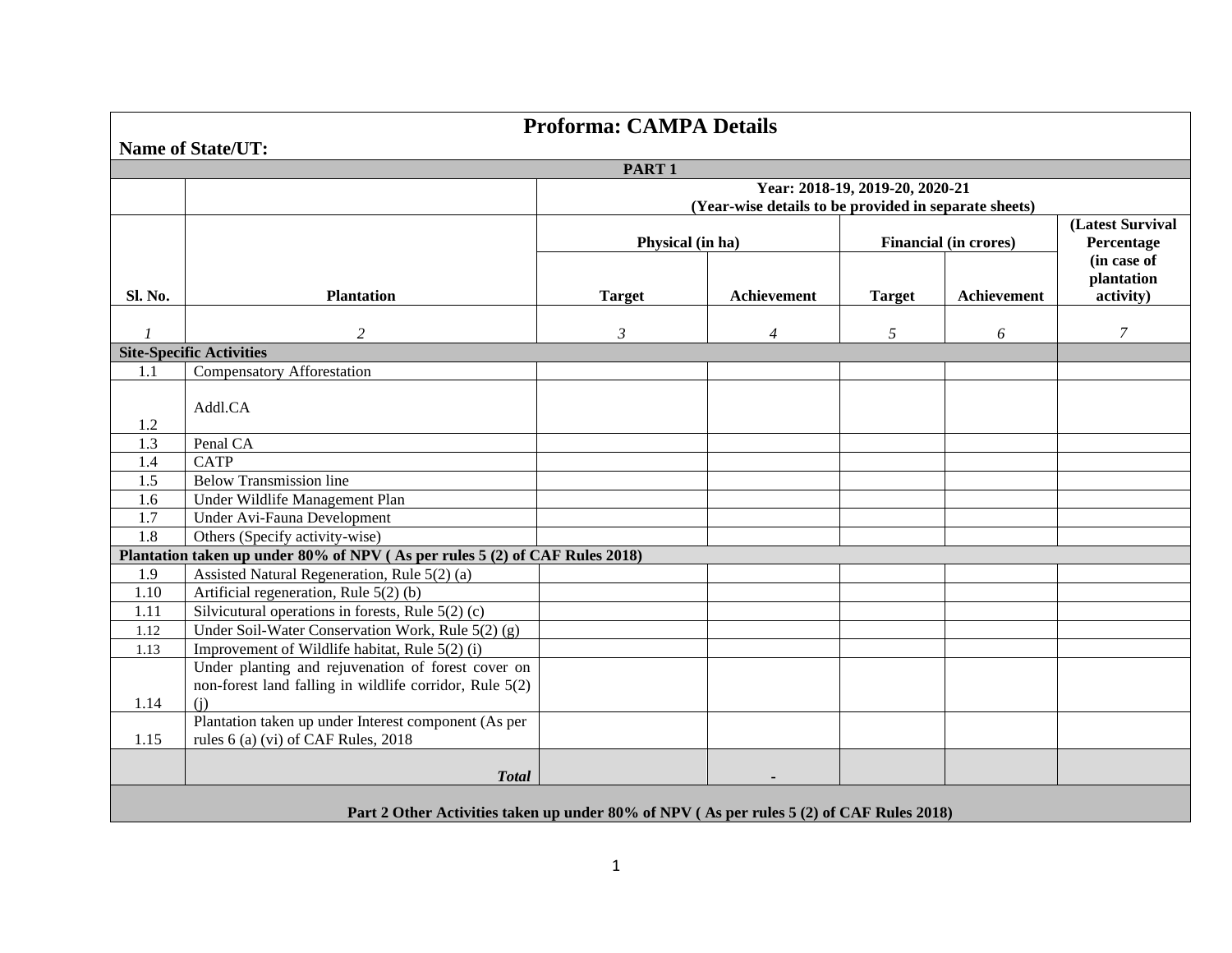| <b>Proforma: CAMPA Details</b>                                                           |                                                                                                               |                                 |                                                       |               |                              |                           |  |  |  |  |  |
|------------------------------------------------------------------------------------------|---------------------------------------------------------------------------------------------------------------|---------------------------------|-------------------------------------------------------|---------------|------------------------------|---------------------------|--|--|--|--|--|
| <b>Name of State/UT:</b>                                                                 |                                                                                                               |                                 |                                                       |               |                              |                           |  |  |  |  |  |
| PART <sub>1</sub>                                                                        |                                                                                                               |                                 |                                                       |               |                              |                           |  |  |  |  |  |
|                                                                                          |                                                                                                               | Year: 2018-19, 2019-20, 2020-21 |                                                       |               |                              |                           |  |  |  |  |  |
|                                                                                          |                                                                                                               |                                 | (Year-wise details to be provided in separate sheets) |               |                              |                           |  |  |  |  |  |
|                                                                                          |                                                                                                               | (Latest Survival                |                                                       |               |                              |                           |  |  |  |  |  |
|                                                                                          |                                                                                                               | Physical (in ha)                |                                                       |               | <b>Financial (in crores)</b> | Percentage<br>(in case of |  |  |  |  |  |
|                                                                                          |                                                                                                               |                                 |                                                       |               |                              | plantation                |  |  |  |  |  |
| Sl. No.                                                                                  | <b>Plantation</b>                                                                                             | <b>Target</b>                   | Achievement                                           | <b>Target</b> | Achievement                  | activity)                 |  |  |  |  |  |
|                                                                                          |                                                                                                               |                                 |                                                       |               |                              |                           |  |  |  |  |  |
| 1                                                                                        | $\overline{2}$                                                                                                | $\mathfrak{Z}$                  | $\overline{4}$                                        | 5             | 6                            | 7                         |  |  |  |  |  |
|                                                                                          | <b>Site-Specific Activities</b>                                                                               |                                 |                                                       |               |                              |                           |  |  |  |  |  |
| 1.1                                                                                      | <b>Compensatory Afforestation</b>                                                                             |                                 |                                                       |               |                              |                           |  |  |  |  |  |
|                                                                                          | Addl.CA                                                                                                       |                                 |                                                       |               |                              |                           |  |  |  |  |  |
| 1.2                                                                                      |                                                                                                               |                                 |                                                       |               |                              |                           |  |  |  |  |  |
| 1.3                                                                                      | Penal CA                                                                                                      |                                 |                                                       |               |                              |                           |  |  |  |  |  |
| 1.4                                                                                      | <b>CATP</b>                                                                                                   |                                 |                                                       |               |                              |                           |  |  |  |  |  |
| 1.5                                                                                      | <b>Below Transmission line</b>                                                                                |                                 |                                                       |               |                              |                           |  |  |  |  |  |
| 1.6                                                                                      | Under Wildlife Management Plan                                                                                |                                 |                                                       |               |                              |                           |  |  |  |  |  |
| 1.7                                                                                      | Under Avi-Fauna Development                                                                                   |                                 |                                                       |               |                              |                           |  |  |  |  |  |
| 1.8                                                                                      | Others (Specify activity-wise)                                                                                |                                 |                                                       |               |                              |                           |  |  |  |  |  |
|                                                                                          | Plantation taken up under 80% of NPV (As per rules 5 (2) of CAF Rules 2018)                                   |                                 |                                                       |               |                              |                           |  |  |  |  |  |
| 1.9                                                                                      | Assisted Natural Regeneration, Rule 5(2) (a)                                                                  |                                 |                                                       |               |                              |                           |  |  |  |  |  |
| 1.10                                                                                     | Artificial regeneration, Rule 5(2) (b)                                                                        |                                 |                                                       |               |                              |                           |  |  |  |  |  |
| 1.11                                                                                     | Silvicutural operations in forests, Rule $5(2)$ (c)                                                           |                                 |                                                       |               |                              |                           |  |  |  |  |  |
| 1.12                                                                                     | Under Soil-Water Conservation Work, Rule $5(2)$ (g)                                                           |                                 |                                                       |               |                              |                           |  |  |  |  |  |
| 1.13                                                                                     | Improvement of Wildlife habitat, Rule 5(2) (i)                                                                |                                 |                                                       |               |                              |                           |  |  |  |  |  |
|                                                                                          | Under planting and rejuvenation of forest cover on<br>non-forest land falling in wildlife corridor, Rule 5(2) |                                 |                                                       |               |                              |                           |  |  |  |  |  |
| 1.14                                                                                     | (i)                                                                                                           |                                 |                                                       |               |                              |                           |  |  |  |  |  |
|                                                                                          | Plantation taken up under Interest component (As per                                                          |                                 |                                                       |               |                              |                           |  |  |  |  |  |
| 1.15                                                                                     | rules 6 (a) (vi) of CAF Rules, 2018                                                                           |                                 |                                                       |               |                              |                           |  |  |  |  |  |
|                                                                                          |                                                                                                               |                                 |                                                       |               |                              |                           |  |  |  |  |  |
|                                                                                          | <b>Total</b>                                                                                                  |                                 |                                                       |               |                              |                           |  |  |  |  |  |
|                                                                                          |                                                                                                               |                                 |                                                       |               |                              |                           |  |  |  |  |  |
| Part 2 Other Activities taken up under 80% of NPV (As per rules 5 (2) of CAF Rules 2018) |                                                                                                               |                                 |                                                       |               |                              |                           |  |  |  |  |  |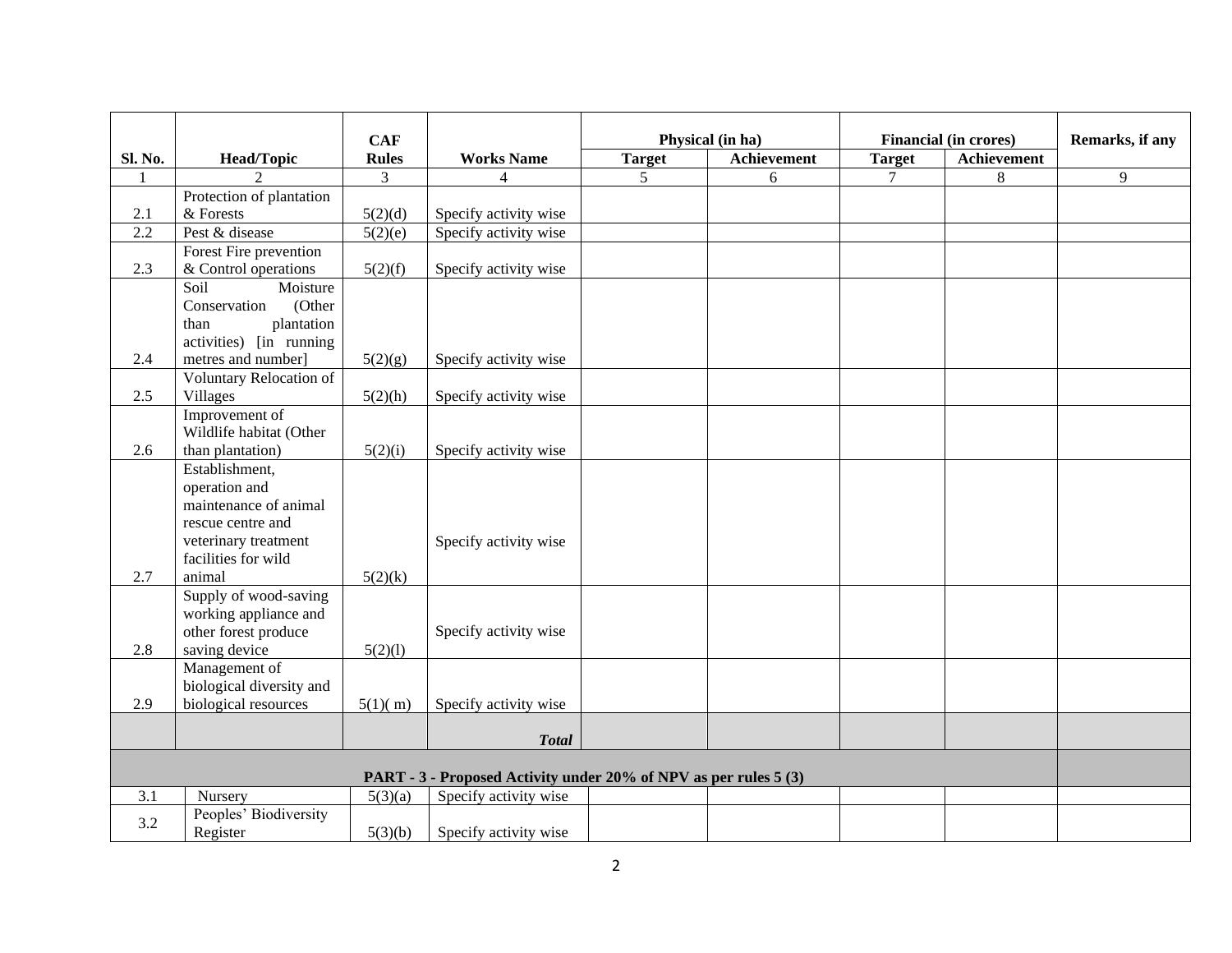|                                                                  |                                             |                            |                          | Physical (in ha) |             | <b>Financial (in crores)</b> |             | Remarks, if any |
|------------------------------------------------------------------|---------------------------------------------|----------------------------|--------------------------|------------------|-------------|------------------------------|-------------|-----------------|
| Sl. No.                                                          | <b>Head/Topic</b>                           | <b>CAF</b><br><b>Rules</b> | <b>Works Name</b>        | <b>Target</b>    | Achievement | <b>Target</b>                | Achievement |                 |
|                                                                  | $\mathcal{D}$                               | $\overline{3}$             | $\overline{\mathcal{L}}$ | 5                | 6           | $\tau$                       | 8           | 9               |
|                                                                  | Protection of plantation                    |                            |                          |                  |             |                              |             |                 |
| 2.1                                                              | & Forests                                   | 5(2)(d)                    | Specify activity wise    |                  |             |                              |             |                 |
| 2.2                                                              | Pest & disease                              | 5(2)(e)                    | Specify activity wise    |                  |             |                              |             |                 |
|                                                                  | Forest Fire prevention                      |                            |                          |                  |             |                              |             |                 |
| 2.3                                                              | & Control operations                        | 5(2)(f)                    | Specify activity wise    |                  |             |                              |             |                 |
|                                                                  | Soil<br>Moisture                            |                            |                          |                  |             |                              |             |                 |
|                                                                  | Conservation<br>(Other                      |                            |                          |                  |             |                              |             |                 |
|                                                                  | plantation<br>than                          |                            |                          |                  |             |                              |             |                 |
|                                                                  | activities) [in running                     |                            |                          |                  |             |                              |             |                 |
| 2.4                                                              | metres and number]                          | 5(2)(g)                    | Specify activity wise    |                  |             |                              |             |                 |
|                                                                  | Voluntary Relocation of                     |                            |                          |                  |             |                              |             |                 |
| 2.5                                                              | <b>Villages</b>                             | 5(2)(h)                    | Specify activity wise    |                  |             |                              |             |                 |
|                                                                  | Improvement of                              |                            |                          |                  |             |                              |             |                 |
| 2.6                                                              | Wildlife habitat (Other<br>than plantation) | 5(2)(i)                    | Specify activity wise    |                  |             |                              |             |                 |
|                                                                  | Establishment,                              |                            |                          |                  |             |                              |             |                 |
|                                                                  | operation and                               |                            |                          |                  |             |                              |             |                 |
|                                                                  | maintenance of animal                       |                            |                          |                  |             |                              |             |                 |
|                                                                  | rescue centre and                           |                            |                          |                  |             |                              |             |                 |
|                                                                  | veterinary treatment                        |                            | Specify activity wise    |                  |             |                              |             |                 |
|                                                                  | facilities for wild                         |                            |                          |                  |             |                              |             |                 |
| 2.7                                                              | animal                                      | 5(2)(k)                    |                          |                  |             |                              |             |                 |
|                                                                  | Supply of wood-saving                       |                            |                          |                  |             |                              |             |                 |
|                                                                  | working appliance and                       |                            |                          |                  |             |                              |             |                 |
|                                                                  | other forest produce                        |                            | Specify activity wise    |                  |             |                              |             |                 |
| 2.8                                                              | saving device                               | 5(2)(1)                    |                          |                  |             |                              |             |                 |
|                                                                  | Management of                               |                            |                          |                  |             |                              |             |                 |
|                                                                  | biological diversity and                    |                            |                          |                  |             |                              |             |                 |
| 2.9                                                              | biological resources                        | 5(1)(m)                    | Specify activity wise    |                  |             |                              |             |                 |
|                                                                  |                                             |                            | <b>Total</b>             |                  |             |                              |             |                 |
|                                                                  |                                             |                            |                          |                  |             |                              |             |                 |
| PART - 3 - Proposed Activity under 20% of NPV as per rules 5 (3) |                                             |                            |                          |                  |             |                              |             |                 |
| 3.1                                                              | Nursery                                     | 5(3)(a)                    | Specify activity wise    |                  |             |                              |             |                 |
| 3.2                                                              | Peoples' Biodiversity                       |                            |                          |                  |             |                              |             |                 |
|                                                                  | Register                                    | 5(3)(b)                    | Specify activity wise    |                  |             |                              |             |                 |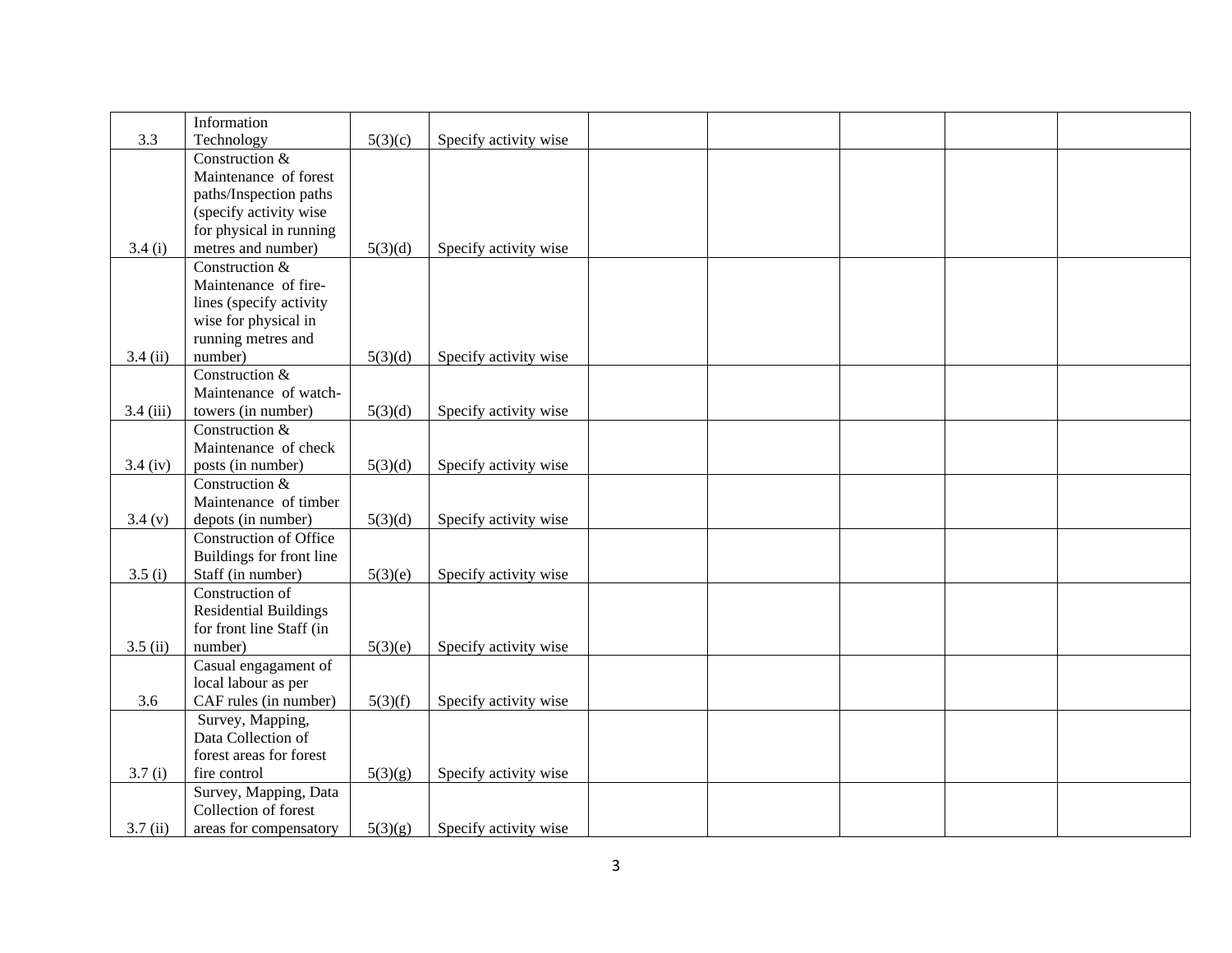|             | Information                   |         |                       |  |  |  |
|-------------|-------------------------------|---------|-----------------------|--|--|--|
| 3.3         | Technology                    | 5(3)(c) | Specify activity wise |  |  |  |
|             | Construction &                |         |                       |  |  |  |
|             | Maintenance of forest         |         |                       |  |  |  |
|             | paths/Inspection paths        |         |                       |  |  |  |
|             | (specify activity wise)       |         |                       |  |  |  |
|             | for physical in running       |         |                       |  |  |  |
| 3.4(i)      | metres and number)            | 5(3)(d) | Specify activity wise |  |  |  |
|             | Construction &                |         |                       |  |  |  |
|             | Maintenance of fire-          |         |                       |  |  |  |
|             |                               |         |                       |  |  |  |
|             | lines (specify activity       |         |                       |  |  |  |
|             | wise for physical in          |         |                       |  |  |  |
|             | running metres and            |         |                       |  |  |  |
| 3.4(i)      | number)                       | 5(3)(d) | Specify activity wise |  |  |  |
|             | Construction &                |         |                       |  |  |  |
|             | Maintenance of watch-         |         |                       |  |  |  |
| $3.4$ (iii) | towers (in number)            | 5(3)(d) | Specify activity wise |  |  |  |
|             | Construction &                |         |                       |  |  |  |
|             | Maintenance of check          |         |                       |  |  |  |
| $3.4$ (iv)  | posts (in number)             | 5(3)(d) | Specify activity wise |  |  |  |
|             | Construction &                |         |                       |  |  |  |
|             | Maintenance of timber         |         |                       |  |  |  |
| 3.4(y)      | depots (in number)            | 5(3)(d) | Specify activity wise |  |  |  |
|             | <b>Construction of Office</b> |         |                       |  |  |  |
|             | Buildings for front line      |         |                       |  |  |  |
| 3.5(i)      | Staff (in number)             | 5(3)(e) | Specify activity wise |  |  |  |
|             | Construction of               |         |                       |  |  |  |
|             | <b>Residential Buildings</b>  |         |                       |  |  |  |
|             | for front line Staff (in      |         |                       |  |  |  |
| 3.5(i)      | number)                       | 5(3)(e) | Specify activity wise |  |  |  |
|             | Casual engagament of          |         |                       |  |  |  |
|             | local labour as per           |         |                       |  |  |  |
| 3.6         | CAF rules (in number)         | 5(3)(f) | Specify activity wise |  |  |  |
|             | Survey, Mapping,              |         |                       |  |  |  |
|             | Data Collection of            |         |                       |  |  |  |
|             | forest areas for forest       |         |                       |  |  |  |
| 3.7(i)      | fire control                  | 5(3)(g) | Specify activity wise |  |  |  |
|             | Survey, Mapping, Data         |         |                       |  |  |  |
|             | Collection of forest          |         |                       |  |  |  |
| 3.7(i)      | areas for compensatory        | 5(3)(g) | Specify activity wise |  |  |  |